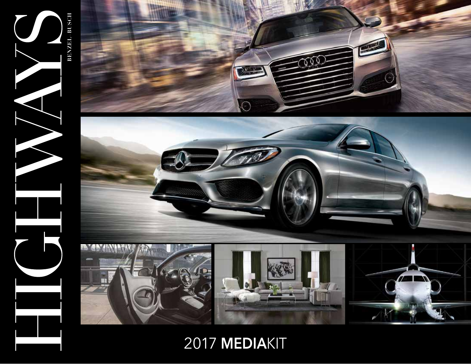

2017 **MEDIA**KIT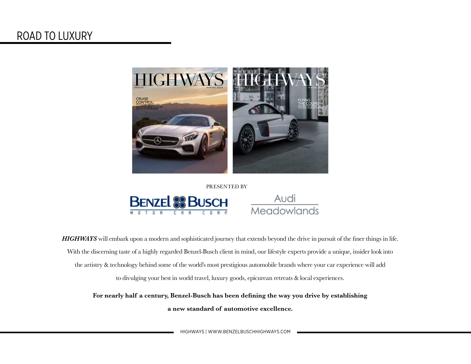

PRESENTED BY





*HIGHWAYS* will embark upon a modern and sophisticated journey that extends beyond the drive in pursuit of the finer things in life. With the discerning taste of a highly regarded Benzel-Busch client in mind, our lifestyle experts provide a unique, insider look into the artistry & technology behind some of the world's most prestigious automobile brands where your car experience will add to divulging your best in world travel, luxury goods, epicurean retreats & local experiences.

**For nearly half a century, Benzel-Busch has been defining the way you drive by establishing a new standard of automotive excellence.**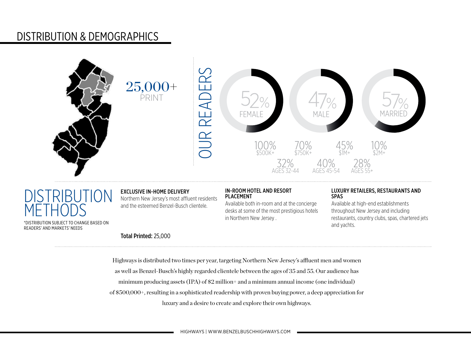# DISTRIBUTION & DEMOGRAPHICS



# **DISTRIBUTION METHODS**

\*DISTRIBUTION SUBJECT TO CHANGE BASED ON READERS' AND MARKETS' NEEDS

### EXCLUSIVE IN-HOME DELIVERY

Total Printed: 25,000

Northern New Jersey's most affluent residents and the esteemed Benzel-Busch clientele.

#### IN-ROOM HOTEL AND RESORT PLACEMENT

Available both in-room and at the concierge desks at some of the most prestigious hotels in Northern New Jersey .

#### LUXURY RETAILERS, RESTAURANTS AND SPAS

Available at high-end establishments throughout New Jersey and including restaurants, country clubs, spas, chartered jets and yachts.

Highways is distributed two times per year, targeting Northern New Jersey's affluent men and women as well as Benzel-Busch's highly regarded clientele between the ages of 35 and 55. Our audience has minimum producing assets (IPA) of \$2 million+ and a minimum annual income (one individual) of \$500,000+, resulting in a sophisticated readership with proven buying power, a deep appreciation for luxury and a desire to create and explore their own highways.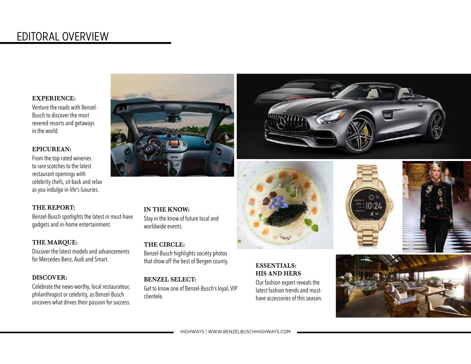# EDITORAL OVERVIEW

#### **EXPERIENCE:**

Venture the roads with Benzel-Busch to discover the most revered resorts and getaways in the world.

### **EPICUREAN:**

From the top-rated wineries to rare scotches to the latest restaurant openings with celebrity chefs, sit back and relax as you indulge in life's luxuries.

## **THE REPORT:**

Benzel-Busch spotlights the latest in must-have gadgets and in-home entertainment.

### **THE MARQUE:**

Discover the latest models and advancements for Mercedes-Benz, Audi and Smart.

### **DISCOVER:**

Celebrate the news-worthy, local restaurateur, philanthropist or celebrity, as Benzel-Busch uncovers what drives their passion for success.





**IN THE KNOW:** Stay in the know of future local and worldwide events.

### **THE CIRCLE:**  Benzel-Busch highlights society photos that show off the best of Bergen county.

**BENZEL SELECT:**  Get to know one of Benzel-Busch's loyal, VIP

clientele.



## **ESSENTIALS: HIS AND HERS**

Our fashion expert reveals the latest fashion trends and musthave accessories of this season.





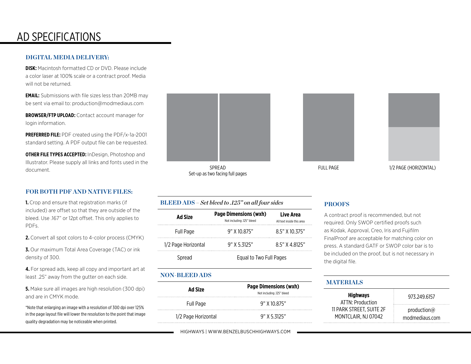# AD SPECIFICATIONS

#### **DIGITAL MEDIA DELIVERY:**

**DISK:** Macintosh formatted CD or DVD. Please include a color laser at 100% scale or a contract proof. Media will not be returned.

**EMAIL:** Submissions with file sizes less than 20MB may be sent via email to: production@modmediaus.com

**BROWSER/FTP UPLOAD:** Contact account manager for login information.

**PREFERRED FILE:** PDF created using the PDF/x-1a-2001 standard setting. A PDF output file can be requested.

**OTHER FILE TYPES ACCEPTED:** InDesign, Photoshop and Illustrator. Please supply all links and fonts used in the document.

#### **FOR BOTH PDF AND NATIVE FILES:**

**1.** Crop and ensure that registration marks (if included) are offset so that they are outside of the bleed. Use .167" or 12pt offset. This only applies to PDFs.

**2.** Convert all spot colors to 4-color process (CMYK)

**3.** Our maximum Total Area Coverage (TAC) or ink density of 300.

**4.** For spread ads, keep all copy and important art at least .25" away from the gutter on each side.

**5.** Make sure all images are high resolution (300 dpi) and are in CMYK mode.

\*Note that enlarging an image with a resolution of 300 dpi over 125% in the page layout file will lower the resolution to the point that image quality degradation may be noticeable when printed.



SPREAD Set-up as two facing full pages

**BLEED ADS –** *Set bleed to .125" on all four sides*

| <b>Ad Size</b>      | <b>Page Dimensions (wxh)</b><br>Not including .125" bleed | Live Area<br>All text inside this area |
|---------------------|-----------------------------------------------------------|----------------------------------------|
| <b>Full Page</b>    | $9"$ X 10.875"                                            | 8.5" X 10.375"                         |
| 1/2 Page Horizontal | $9"$ X 5.3125"                                            | 8.5" X 4.8125"                         |
| Spread              | Equal to Two Full Pages                                   |                                        |

### **NON-BLEED ADS**

| Ad Size             | <b>Page Dimensions (wxh)</b><br>Not including .125" bleed |  |
|---------------------|-----------------------------------------------------------|--|
| Full Page           | $9"$ X 10.875"                                            |  |
| 1/2 Page Horizontal | $9"$ X 5.3125"                                            |  |





#### FULL PAGE 1/2 PAGE (HORIZONTAL)

#### **PROOFS**

A contract proof is recommended, but not required. Only SWOP certified proofs such as Kodak, Approval, Creo, Iris and Fujifilm FinalProof are acceptable for matching color on press. A standard GATF or SWOP color bar is to be included on the proof, but is not necessary in the digital file.

#### **MATERIALS**

| <b>Highways</b><br>ATTN: Production | 973.249.6157        |  |
|-------------------------------------|---------------------|--|
| 11 PARK STREET. SUITE 2F            | production $\omega$ |  |
| MONTCLAIR, NJ 07042                 | modmediaus.com      |  |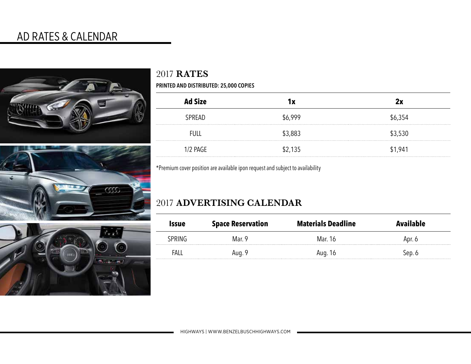# AD RATES & CALENDAR





# 2017 **RATES**

**PRINTED AND DISTRIBUTED: 25,000 COPIES**

| <b>Ad Size</b> | l X     |         |
|----------------|---------|---------|
| SPREAD         | \$6.999 | \$6,354 |
| <b>FULL</b>    | \$3,883 | 3,530   |
| $1/2$ PAGE     | \$2,135 | \$1,941 |

\*Premium cover position are available ipon request and subject to availability

# 2017 **ADVERTISING CALENDAR**

| Issue | <b>Space Reservation</b> | <b>Materials Deadline</b> |  |
|-------|--------------------------|---------------------------|--|
|       | Mar 9                    | Mar 16                    |  |
|       | 10, 9                    | AUG. 16                   |  |